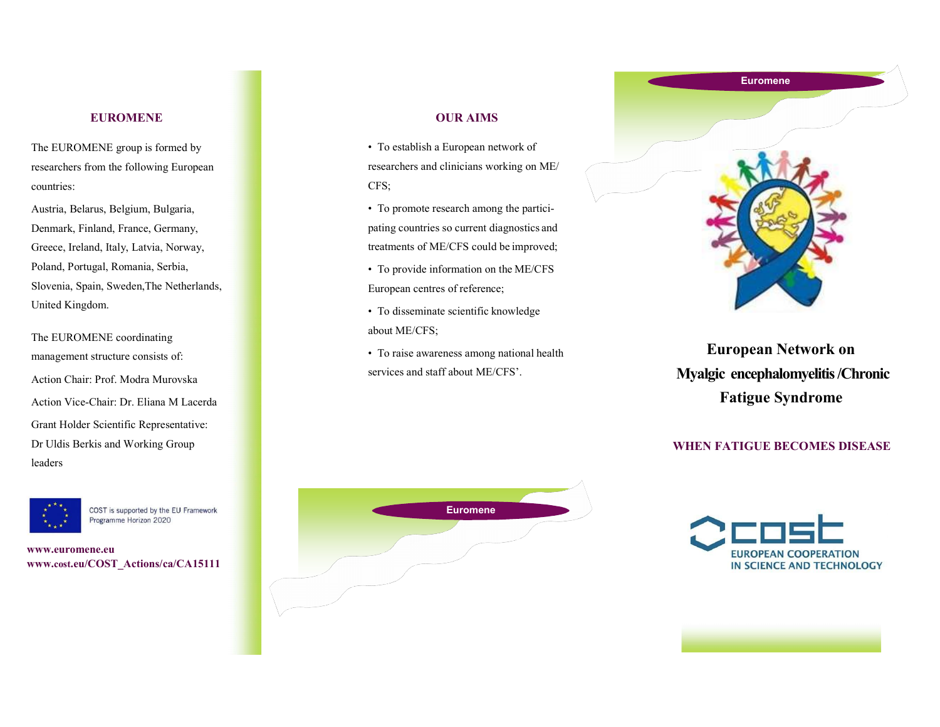## EUROMENE

The EUROMENE group is formed by researchers from the following European countries:

Austria, Belarus, Belgium, Bulgaria, Denmark, Finland, France, Germany, Greece, Ireland, Italy, Latvia, Norway, Poland, Portugal, Romania, Serbia, Slovenia, Spain, Sweden,The Netherlands, United Kingdom.

The EUROMENE coordinating management structure consists of: Action Chair: Prof. Modra Murovska Action Vice-Chair: Dr. Eliana M Lacerda Grant Holder Scientific Representative: Dr Uldis Berkis and Working Group leaders



COST is supported by the EU Framework Programme Horizon 2020

www.euromene.eu www.cost.eu/COST\_Actions/ca/CA15111

## OUR AIMS

• To establish a European network of researchers and clinicians working on ME/ CFS;

• To promote research among the participating countries so current diagnostics and treatments of ME/CFS could be improved;

- To provide information on the ME/CFS European centres of reference;
- To disseminate scientific knowledge about ME/CFS;
- To raise awareness among national health services and staff about ME/CFS'.



European Network on Myalgic encephalomyelitis /Chronic Fatigue Syndrome

### WHEN FATIGUE BECOMES DISEASE